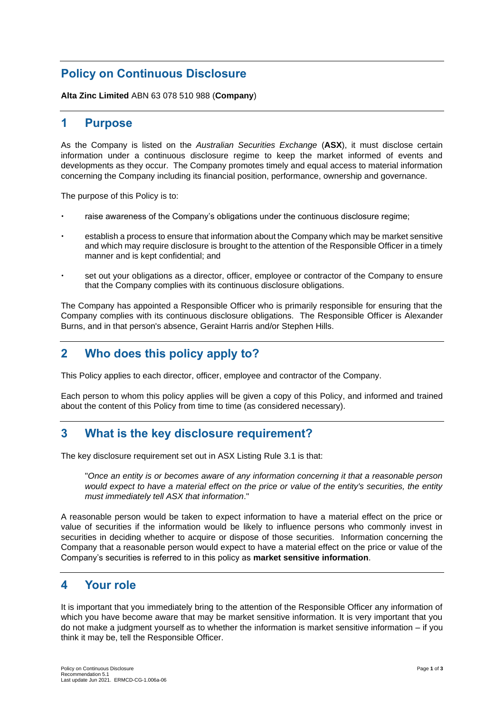# **Policy on Continuous Disclosure**

**Alta Zinc Limited** ABN 63 078 510 988 (**Company**)

#### **1 Purpose**

As the Company is listed on the *Australian Securities Exchange* (**ASX**), it must disclose certain information under a continuous disclosure regime to keep the market informed of events and developments as they occur. The Company promotes timely and equal access to material information concerning the Company including its financial position, performance, ownership and governance.

The purpose of this Policy is to:

- raise awareness of the Company's obligations under the continuous disclosure regime;
- establish a process to ensure that information about the Company which may be market sensitive and which may require disclosure is brought to the attention of the Responsible Officer in a timely manner and is kept confidential; and
- set out your obligations as a director, officer, employee or contractor of the Company to ensure that the Company complies with its continuous disclosure obligations.

The Company has appointed a Responsible Officer who is primarily responsible for ensuring that the Company complies with its continuous disclosure obligations. The Responsible Officer is Alexander Burns, and in that person's absence, Geraint Harris and/or Stephen Hills.

## **2 Who does this policy apply to?**

This Policy applies to each director, officer, employee and contractor of the Company.

Each person to whom this policy applies will be given a copy of this Policy, and informed and trained about the content of this Policy from time to time (as considered necessary).

## **3 What is the key disclosure requirement?**

The key disclosure requirement set out in ASX Listing Rule 3.1 is that:

"*Once an entity is or becomes aware of any information concerning it that a reasonable person would expect to have a material effect on the price or value of the entity's securities, the entity must immediately tell ASX that information*."

A reasonable person would be taken to expect information to have a material effect on the price or value of securities if the information would be likely to influence persons who commonly invest in securities in deciding whether to acquire or dispose of those securities. Information concerning the Company that a reasonable person would expect to have a material effect on the price or value of the Company's securities is referred to in this policy as **market sensitive information**.

#### **4 Your role**

It is important that you immediately bring to the attention of the Responsible Officer any information of which you have become aware that may be market sensitive information. It is very important that you do not make a judgment yourself as to whether the information is market sensitive information – if you think it may be, tell the Responsible Officer.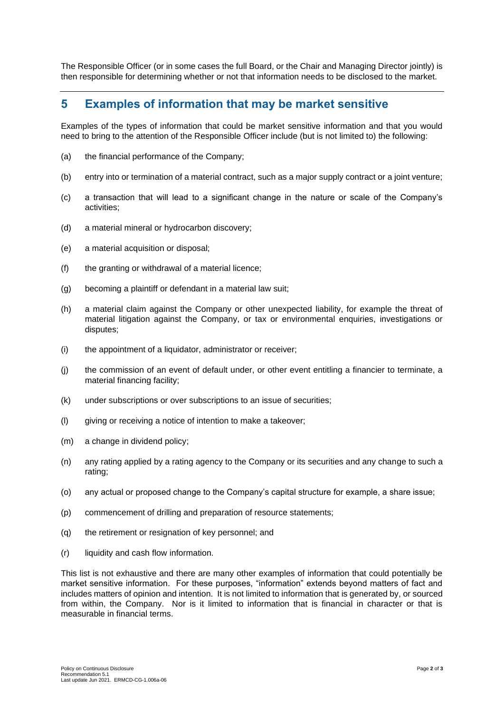The Responsible Officer (or in some cases the full Board, or the Chair and Managing Director jointly) is then responsible for determining whether or not that information needs to be disclosed to the market.

#### **5 Examples of information that may be market sensitive**

Examples of the types of information that could be market sensitive information and that you would need to bring to the attention of the Responsible Officer include (but is not limited to) the following:

- (a) the financial performance of the Company;
- (b) entry into or termination of a material contract, such as a major supply contract or a joint venture;
- (c) a transaction that will lead to a significant change in the nature or scale of the Company's activities;
- (d) a material mineral or hydrocarbon discovery;
- (e) a material acquisition or disposal;
- (f) the granting or withdrawal of a material licence;
- (g) becoming a plaintiff or defendant in a material law suit;
- (h) a material claim against the Company or other unexpected liability, for example the threat of material litigation against the Company, or tax or environmental enquiries, investigations or disputes;
- (i) the appointment of a liquidator, administrator or receiver;
- (j) the commission of an event of default under, or other event entitling a financier to terminate, a material financing facility;
- (k) under subscriptions or over subscriptions to an issue of securities;
- (l) giving or receiving a notice of intention to make a takeover;
- (m) a change in dividend policy;
- (n) any rating applied by a rating agency to the Company or its securities and any change to such a rating;
- (o) any actual or proposed change to the Company's capital structure for example, a share issue;
- (p) commencement of drilling and preparation of resource statements;
- (q) the retirement or resignation of key personnel; and
- (r) liquidity and cash flow information.

This list is not exhaustive and there are many other examples of information that could potentially be market sensitive information. For these purposes, "information" extends beyond matters of fact and includes matters of opinion and intention. It is not limited to information that is generated by, or sourced from within, the Company. Nor is it limited to information that is financial in character or that is measurable in financial terms.